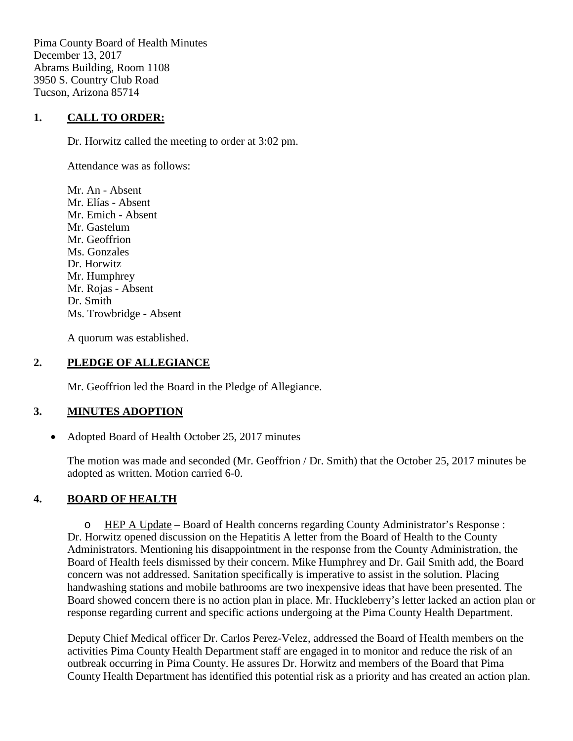Pima County Board of Health Minutes December 13, 2017 Abrams Building, Room 1108 3950 S. Country Club Road Tucson, Arizona 85714

#### **1. CALL TO ORDER:**

Dr. Horwitz called the meeting to order at 3:02 pm.

Attendance was as follows:

Mr. An - Absent Mr. Elías - Absent Mr. Emich - Absent Mr. Gastelum Mr. Geoffrion Ms. Gonzales Dr. Horwitz Mr. Humphrey Mr. Rojas - Absent Dr. Smith Ms. Trowbridge - Absent

A quorum was established.

#### **2. PLEDGE OF ALLEGIANCE**

Mr. Geoffrion led the Board in the Pledge of Allegiance.

## **3. MINUTES ADOPTION**

• Adopted Board of Health October 25, 2017 minutes

The motion was made and seconded (Mr. Geoffrion / Dr. Smith) that the October 25, 2017 minutes be adopted as written. Motion carried 6-0.

## **4. BOARD OF HEALTH**

o HEP A Update – Board of Health concerns regarding County Administrator's Response : Dr. Horwitz opened discussion on the Hepatitis A letter from the Board of Health to the County Administrators. Mentioning his disappointment in the response from the County Administration, the Board of Health feels dismissed by their concern. Mike Humphrey and Dr. Gail Smith add, the Board concern was not addressed. Sanitation specifically is imperative to assist in the solution. Placing handwashing stations and mobile bathrooms are two inexpensive ideas that have been presented. The Board showed concern there is no action plan in place. Mr. Huckleberry's letter lacked an action plan or response regarding current and specific actions undergoing at the Pima County Health Department.

Deputy Chief Medical officer Dr. Carlos Perez-Velez, addressed the Board of Health members on the activities Pima County Health Department staff are engaged in to monitor and reduce the risk of an outbreak occurring in Pima County. He assures Dr. Horwitz and members of the Board that Pima County Health Department has identified this potential risk as a priority and has created an action plan.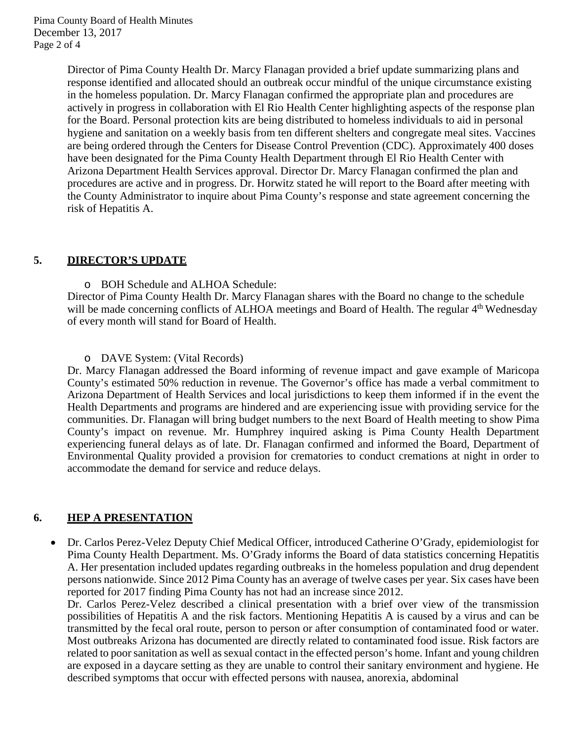Director of Pima County Health Dr. Marcy Flanagan provided a brief update summarizing plans and response identified and allocated should an outbreak occur mindful of the unique circumstance existing in the homeless population. Dr. Marcy Flanagan confirmed the appropriate plan and procedures are actively in progress in collaboration with El Rio Health Center highlighting aspects of the response plan for the Board. Personal protection kits are being distributed to homeless individuals to aid in personal hygiene and sanitation on a weekly basis from ten different shelters and congregate meal sites. Vaccines are being ordered through the Centers for Disease Control Prevention (CDC). Approximately 400 doses have been designated for the Pima County Health Department through El Rio Health Center with Arizona Department Health Services approval. Director Dr. Marcy Flanagan confirmed the plan and procedures are active and in progress. Dr. Horwitz stated he will report to the Board after meeting with the County Administrator to inquire about Pima County's response and state agreement concerning the risk of Hepatitis A.

#### **5. DIRECTOR'S UPDATE**

o BOH Schedule and ALHOA Schedule:

Director of Pima County Health Dr. Marcy Flanagan shares with the Board no change to the schedule will be made concerning conflicts of ALHOA meetings and Board of Health. The regular 4<sup>th</sup> Wednesday of every month will stand for Board of Health.

o DAVE System: (Vital Records)

Dr. Marcy Flanagan addressed the Board informing of revenue impact and gave example of Maricopa County's estimated 50% reduction in revenue. The Governor's office has made a verbal commitment to Arizona Department of Health Services and local jurisdictions to keep them informed if in the event the Health Departments and programs are hindered and are experiencing issue with providing service for the communities. Dr. Flanagan will bring budget numbers to the next Board of Health meeting to show Pima County's impact on revenue. Mr. Humphrey inquired asking is Pima County Health Department experiencing funeral delays as of late. Dr. Flanagan confirmed and informed the Board, Department of Environmental Quality provided a provision for crematories to conduct cremations at night in order to accommodate the demand for service and reduce delays.

# **6. HEP A PRESENTATION**

• Dr. Carlos Perez-Velez Deputy Chief Medical Officer, introduced Catherine O'Grady, epidemiologist for Pima County Health Department. Ms. O'Grady informs the Board of data statistics concerning Hepatitis A. Her presentation included updates regarding outbreaks in the homeless population and drug dependent persons nationwide. Since 2012 Pima County has an average of twelve cases per year. Six cases have been reported for 2017 finding Pima County has not had an increase since 2012.

Dr. Carlos Perez-Velez described a clinical presentation with a brief over view of the transmission possibilities of Hepatitis A and the risk factors. Mentioning Hepatitis A is caused by a virus and can be transmitted by the fecal oral route, person to person or after consumption of contaminated food or water. Most outbreaks Arizona has documented are directly related to contaminated food issue. Risk factors are related to poor sanitation as well as sexual contact in the effected person's home. Infant and young children are exposed in a daycare setting as they are unable to control their sanitary environment and hygiene. He described symptoms that occur with effected persons with nausea, anorexia, abdominal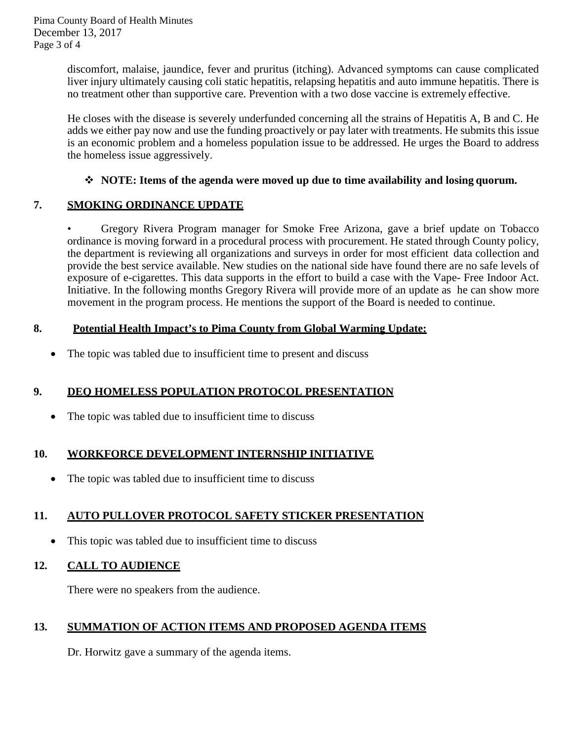discomfort, malaise, jaundice, fever and pruritus (itching). Advanced symptoms can cause complicated liver injury ultimately causing coli static hepatitis, relapsing hepatitis and auto immune hepatitis. There is no treatment other than supportive care. Prevention with a two dose vaccine is extremely effective.

He closes with the disease is severely underfunded concerning all the strains of Hepatitis A, B and C. He adds we either pay now and use the funding proactively or pay later with treatments. He submits this issue is an economic problem and a homeless population issue to be addressed. He urges the Board to address the homeless issue aggressively.

## **NOTE: Items of the agenda were moved up due to time availability and losing quorum.**

## **7. SMOKING ORDINANCE UPDATE**

• Gregory Rivera Program manager for Smoke Free Arizona, gave a brief update on Tobacco ordinance is moving forward in a procedural process with procurement. He stated through County policy, the department is reviewing all organizations and surveys in order for most efficient data collection and provide the best service available. New studies on the national side have found there are no safe levels of exposure of e-cigarettes. This data supports in the effort to build a case with the Vape- Free Indoor Act. Initiative. In the following months Gregory Rivera will provide more of an update as he can show more movement in the program process. He mentions the support of the Board is needed to continue.

## **8. Potential Health Impact's to Pima County from Global Warming Update:**

• The topic was tabled due to insufficient time to present and discuss

# **9. DEQ HOMELESS POPULATION PROTOCOL PRESENTATION**

• The topic was tabled due to insufficient time to discuss

## **10. WORKFORCE DEVELOPMENT INTERNSHIP INITIATIVE**

• The topic was tabled due to insufficient time to discuss

# **11. AUTO PULLOVER PROTOCOL SAFETY STICKER PRESENTATION**

• This topic was tabled due to insufficient time to discuss

## **12. CALL TO AUDIENCE**

There were no speakers from the audience.

# **13. SUMMATION OF ACTION ITEMS AND PROPOSED AGENDA ITEMS**

Dr. Horwitz gave a summary of the agenda items.